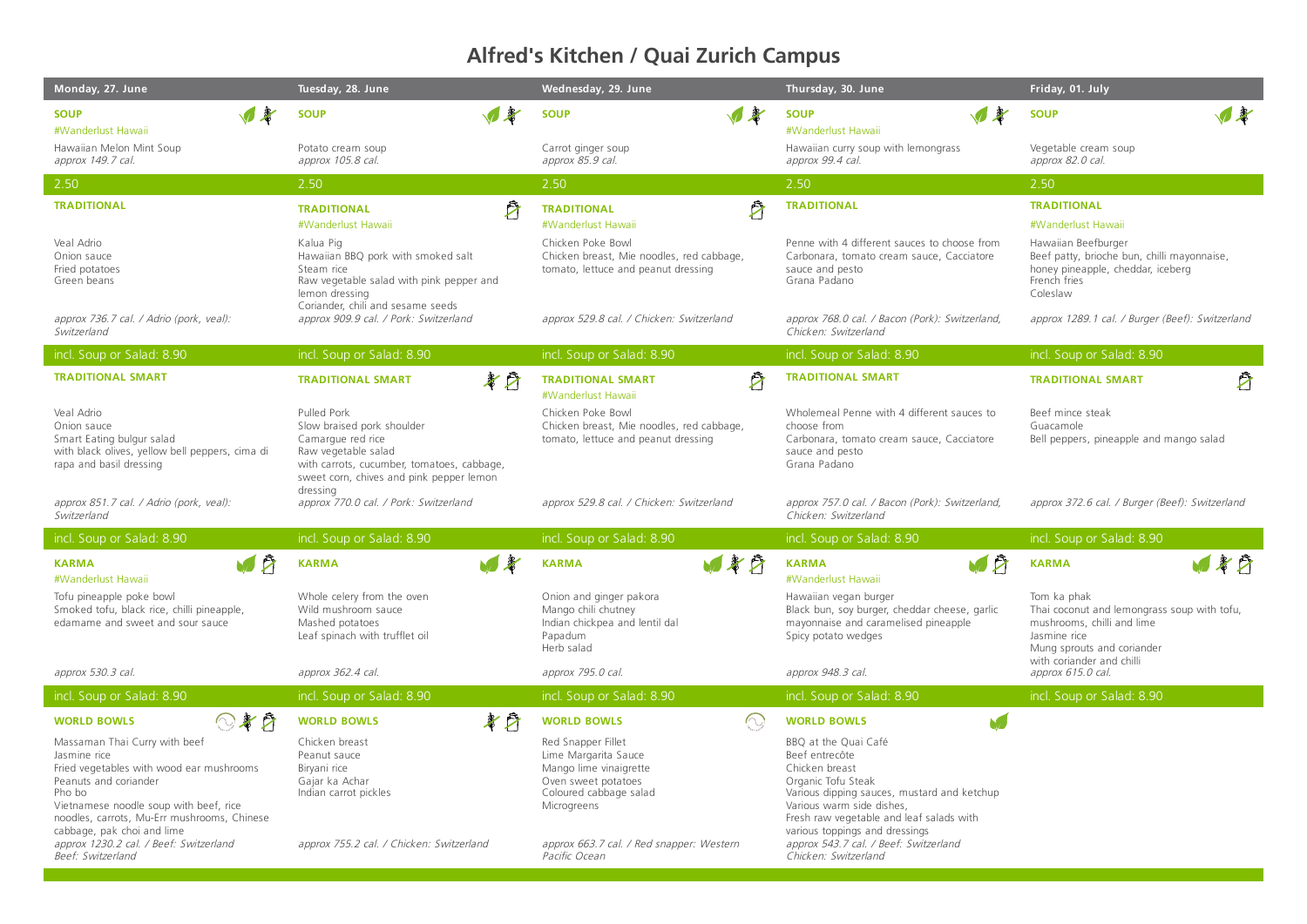## **Alfred's Kitchen / Quai Zurich Campus**

| Monday, 27. June                                                                                                                                                                                                                                    | Tuesday, 28. June                                                                                                                                                                           | Wednesday, 29. June                                                                                                                  | Thursday, 30. June                                                                                                                                                                                                                       | Friday, 01. July                                                                                                                                                    |
|-----------------------------------------------------------------------------------------------------------------------------------------------------------------------------------------------------------------------------------------------------|---------------------------------------------------------------------------------------------------------------------------------------------------------------------------------------------|--------------------------------------------------------------------------------------------------------------------------------------|------------------------------------------------------------------------------------------------------------------------------------------------------------------------------------------------------------------------------------------|---------------------------------------------------------------------------------------------------------------------------------------------------------------------|
| <b>SOUP</b><br>#Wanderlust Hawaii                                                                                                                                                                                                                   | ▼多<br><b>SOUP</b>                                                                                                                                                                           | $\sqrt{3}$<br><b>SOUP</b>                                                                                                            | $\sqrt{2}$<br><b>SOUP</b><br>#Wanderlust Hawaii                                                                                                                                                                                          | $\blacksquare$<br><b>SOUP</b>                                                                                                                                       |
| Hawaiian Melon Mint Soup<br>approx 149.7 cal.                                                                                                                                                                                                       | Potato cream soup<br>approx 105.8 cal.                                                                                                                                                      | Carrot ginger soup<br>approx 85.9 cal.                                                                                               | Hawaiian curry soup with lemongrass<br>approx 99.4 cal.                                                                                                                                                                                  | Vegetable cream soup<br>approx 82.0 cal.                                                                                                                            |
| 2.50                                                                                                                                                                                                                                                | 2.50                                                                                                                                                                                        | 2.50                                                                                                                                 | 2.50                                                                                                                                                                                                                                     | 2.50                                                                                                                                                                |
| <b>TRADITIONAL</b>                                                                                                                                                                                                                                  | Α<br><b>TRADITIONAL</b><br>#Wanderlust Hawaii                                                                                                                                               | Å<br><b>TRADITIONAL</b><br>#Wanderlust Hawaii                                                                                        | <b>TRADITIONAL</b>                                                                                                                                                                                                                       | <b>TRADITIONAL</b><br>#Wanderlust Hawaii                                                                                                                            |
| Veal Adrio<br>Onion sauce<br>Fried potatoes<br>Green beans                                                                                                                                                                                          | Kalua Pig<br>Hawaiian BBQ pork with smoked salt<br>Steam rice<br>Raw vegetable salad with pink pepper and<br>lemon dressing<br>Coriander, chili and sesame seeds                            | Chicken Poke Bowl<br>Chicken breast, Mie noodles, red cabbage,<br>tomato, lettuce and peanut dressing                                | Penne with 4 different sauces to choose from<br>Carbonara, tomato cream sauce, Cacciatore<br>sauce and pesto<br>Grana Padano                                                                                                             | Hawaiian Beefburger<br>Beef patty, brioche bun, chilli mayonnaise,<br>honey pineapple, cheddar, iceberg<br>French fries<br>Coleslaw                                 |
| approx 736.7 cal. / Adrio (pork, veal):<br>Switzerland                                                                                                                                                                                              | approx 909.9 cal. / Pork: Switzerland                                                                                                                                                       | approx 529.8 cal. / Chicken: Switzerland                                                                                             | approx 768.0 cal. / Bacon (Pork): Switzerland,<br>Chicken: Switzerland                                                                                                                                                                   | approx 1289.1 cal. / Burger (Beef): Switzerland                                                                                                                     |
| incl. Soup or Salad: 8.90                                                                                                                                                                                                                           | incl. Soup or Salad: 8.90                                                                                                                                                                   | incl. Soup or Salad: 8.90                                                                                                            | incl. Soup or Salad: 8.90                                                                                                                                                                                                                | incl. Soup or Salad: 8.90                                                                                                                                           |
| <b>TRADITIONAL SMART</b>                                                                                                                                                                                                                            | 孝厅<br><b>TRADITIONAL SMART</b>                                                                                                                                                              | Ź<br><b>TRADITIONAL SMART</b><br>#Wanderlust Hawaii                                                                                  | <b>TRADITIONAL SMART</b>                                                                                                                                                                                                                 | 户<br><b>TRADITIONAL SMART</b>                                                                                                                                       |
| Veal Adrio<br>Onion sauce<br>Smart Eating bulgur salad<br>with black olives, yellow bell peppers, cima di<br>rapa and basil dressing                                                                                                                | Pulled Pork<br>Slow braised pork shoulder<br>Camarque red rice<br>Raw vegetable salad<br>with carrots, cucumber, tomatoes, cabbage,<br>sweet corn, chives and pink pepper lemon<br>dressing | Chicken Poke Bowl<br>Chicken breast, Mie noodles, red cabbage,<br>tomato, lettuce and peanut dressing                                | Wholemeal Penne with 4 different sauces to<br>choose from<br>Carbonara, tomato cream sauce, Cacciatore<br>sauce and pesto<br>Grana Padano                                                                                                | Beef mince steak<br>Guacamole<br>Bell peppers, pineapple and mango salad                                                                                            |
| approx 851.7 cal. / Adrio (pork, veal):<br>Switzerland                                                                                                                                                                                              | approx 770.0 cal. / Pork: Switzerland                                                                                                                                                       | approx 529.8 cal. / Chicken: Switzerland                                                                                             | approx 757.0 cal. / Bacon (Pork): Switzerland,<br>Chicken: Switzerland                                                                                                                                                                   | approx 372.6 cal. / Burger (Beef): Switzerland                                                                                                                      |
| incl. Soup or Salad: 8.90                                                                                                                                                                                                                           | incl. Soup or Salad: 8.90                                                                                                                                                                   | incl. Soup or Salad: 8.90                                                                                                            | incl. Soup or Salad: 8.90                                                                                                                                                                                                                | incl. Soup or Salad: 8.90                                                                                                                                           |
| <b>VA</b><br><b>KARMA</b><br>#Wanderlust Hawaii                                                                                                                                                                                                     | 国考<br><b>KARMA</b>                                                                                                                                                                          | 国家府<br><b>KARMA</b>                                                                                                                  | <b>VA</b><br><b>KARMA</b><br>#Wanderlust Hawaii                                                                                                                                                                                          | 480<br><b>KARMA</b>                                                                                                                                                 |
| Tofu pineapple poke bowl<br>Smoked tofu, black rice, chilli pineapple,<br>edamame and sweet and sour sauce                                                                                                                                          | Whole celery from the oven<br>Wild mushroom sauce<br>Mashed potatoes<br>Leaf spinach with trufflet oil                                                                                      | Onion and ginger pakora<br>Mango chili chutney<br>Indian chickpea and lentil dal<br>Papadum<br>Herb salad                            | Hawaiian vegan burger<br>Black bun, soy burger, cheddar cheese, garlic<br>mayonnaise and caramelised pineapple<br>Spicy potato wedges                                                                                                    | Tom ka phak<br>Thai coconut and lemongrass soup with tofu,<br>mushrooms, chilli and lime<br>Jasmine rice<br>Mung sprouts and coriander<br>with coriander and chilli |
| approx 530.3 cal.                                                                                                                                                                                                                                   | approx 362.4 cal.                                                                                                                                                                           | approx 795.0 cal.                                                                                                                    | approx 948.3 cal.                                                                                                                                                                                                                        | approx 615.0 cal.                                                                                                                                                   |
| incl. Soup or Salad: 8.90                                                                                                                                                                                                                           | incl. Soup or Salad: 8.90                                                                                                                                                                   | incl. Soup or Salad: 8.90                                                                                                            | incl. Soup or Salad: 8.90                                                                                                                                                                                                                | incl. Soup or Salad: 8.90                                                                                                                                           |
| $O$ $\boldsymbol{Z}$ $\boldsymbol{Z}$<br><b>WORLD BOWLS</b>                                                                                                                                                                                         | 孝日<br><b>WORLD BOWLS</b>                                                                                                                                                                    | $\bigcirc$<br><b>WORLD BOWLS</b>                                                                                                     | M.<br><b>WORLD BOWLS</b>                                                                                                                                                                                                                 |                                                                                                                                                                     |
| Massaman Thai Curry with beef<br>Jasmine rice<br>Fried vegetables with wood ear mushrooms<br>Peanuts and coriander<br>Pho bo<br>Vietnamese noodle soup with beef, rice<br>noodles, carrots, Mu-Err mushrooms, Chinese<br>cabbage, pak choi and lime | Chicken breast<br>Peanut sauce<br>Biryani rice<br>Gajar ka Achar<br>Indian carrot pickles                                                                                                   | Red Snapper Fillet<br>Lime Margarita Sauce<br>Mango lime vinaigrette<br>Oven sweet potatoes<br>Coloured cabbage salad<br>Microgreens | BBQ at the Quai Café<br>Beef entrecôte<br>Chicken breast<br>Organic Tofu Steak<br>Various dipping sauces, mustard and ketchup<br>Various warm side dishes,<br>Fresh raw vegetable and leaf salads with<br>various toppings and dressings |                                                                                                                                                                     |
| approx 1230.2 cal. / Beef: Switzerland<br>Beef: Switzerland                                                                                                                                                                                         | approx 755.2 cal. / Chicken: Switzerland                                                                                                                                                    | approx 663.7 cal. / Red snapper: Western<br>Pacific Ocean                                                                            | approx 543.7 cal. / Beef: Switzerland<br>Chicken: Switzerland                                                                                                                                                                            |                                                                                                                                                                     |